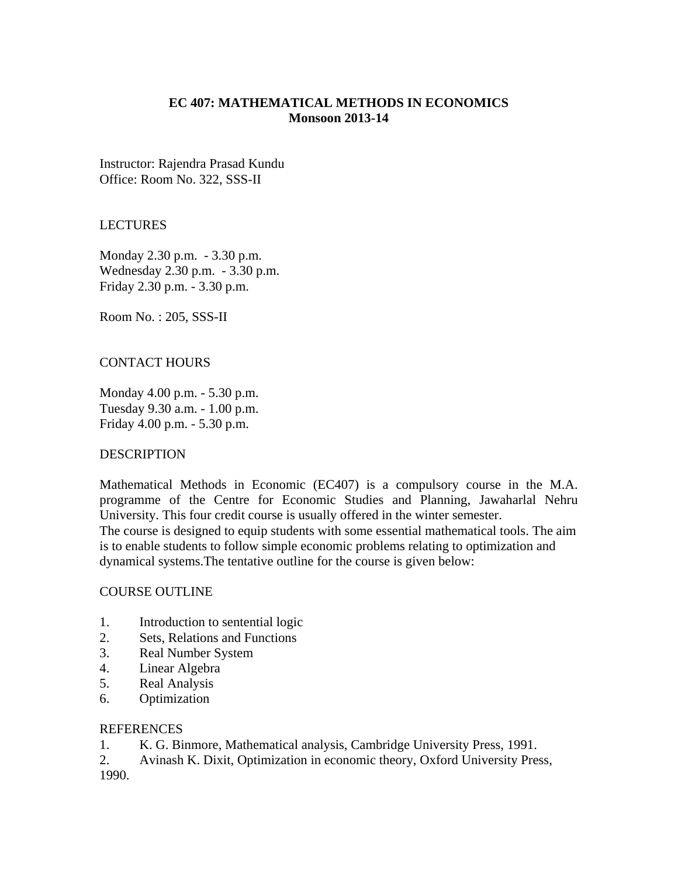# **EC 407: MATHEMATICAL METHODS IN ECONOMICS Monsoon 2013-14**

Instructor: Rajendra Prasad Kundu Office: Room No. 322, SSS-II

## LECTURES

Monday 2.30 p.m. - 3.30 p.m. Wednesday 2.30 p.m. - 3.30 p.m. Friday 2.30 p.m. - 3.30 p.m.

Room No. : 205, SSS-II

## CONTACT HOURS

Monday 4.00 p.m. - 5.30 p.m. Tuesday 9.30 a.m. - 1.00 p.m. Friday 4.00 p.m. - 5.30 p.m.

### **DESCRIPTION**

Mathematical Methods in Economic (EC407) is a compulsory course in the M.A. programme of the Centre for Economic Studies and Planning, Jawaharlal Nehru University. This four credit course is usually offered in the winter semester.

The course is designed to equip students with some essential mathematical tools. The aim is to enable students to follow simple economic problems relating to optimization and dynamical systems.The tentative outline for the course is given below:

### COURSE OUTLINE

- 1. Introduction to sentential logic
- 2. Sets, Relations and Functions
- 3. Real Number System
- 4. Linear Algebra
- 5. Real Analysis
- 6. Optimization

#### REFERENCES

1. K. G. Binmore, Mathematical analysis, Cambridge University Press, 1991.

2. Avinash K. Dixit, Optimization in economic theory, Oxford University Press, 1990.